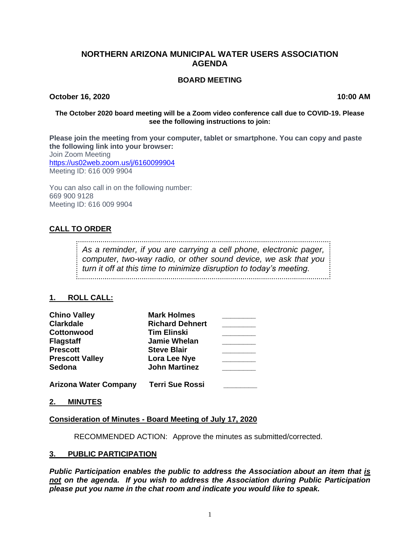## **NORTHERN ARIZONA MUNICIPAL WATER USERS ASSOCIATION AGENDA**

#### **BOARD MEETING**

**October 16, 2020 10:00 AM**

#### **The October 2020 board meeting will be a Zoom video conference call due to COVID-19. Please see the following instructions to join:**

**Please join the meeting from your computer, tablet or smartphone. You can copy and paste the following link into your browser:** Join Zoom Meeting <https://us02web.zoom.us/j/6160099904> Meeting ID: 616 009 9904

You can also call in on the following number: 669 900 9128 Meeting ID: 616 009 9904

# **CALL TO ORDER**

*As a reminder, if you are carrying a cell phone, electronic pager, computer, two-way radio, or other sound device, we ask that you turn it off at this time to minimize disruption to today's meeting.*

## **1. ROLL CALL:**

| <b>Chino Valley</b>          | <b>Mark Holmes</b>     |  |
|------------------------------|------------------------|--|
| <b>Clarkdale</b>             | <b>Richard Dehnert</b> |  |
| <b>Cottonwood</b>            | <b>Tim Elinski</b>     |  |
| <b>Flagstaff</b>             | <b>Jamie Whelan</b>    |  |
| <b>Prescott</b>              | <b>Steve Blair</b>     |  |
| <b>Prescott Valley</b>       | Lora Lee Nye           |  |
| Sedona                       | <b>John Martinez</b>   |  |
| <b>Arizona Water Company</b> | <b>Terri Sue Rossi</b> |  |

**2. MINUTES**

**Consideration of Minutes - Board Meeting of July 17, 2020**

RECOMMENDED ACTION: Approve the minutes as submitted/corrected.

## **3. PUBLIC PARTICIPATION**

*Public Participation enables the public to address the Association about an item that is not on the agenda. If you wish to address the Association during Public Participation please put you name in the chat room and indicate you would like to speak.*